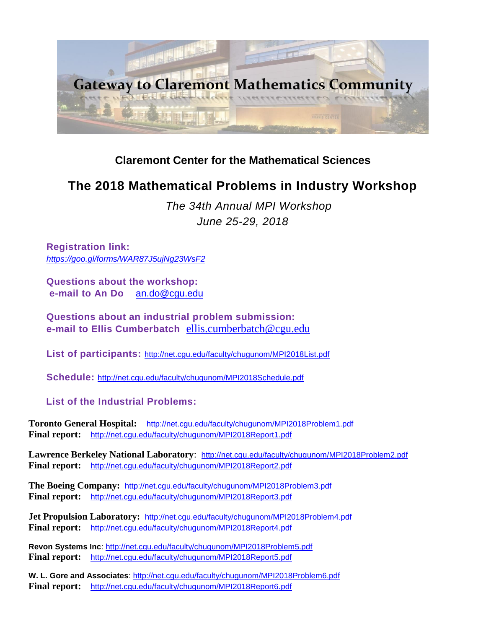

# **[Claremont Center for the Mathematical Sciences](http://ccms.claremont.edu/)**

# **The 2018 Mathematical Problems in Industry Workshop**

*The 34th Annual MPI Workshop June 25-29, 2018*

**Registration link:**  *<https://goo.gl/forms/WAR87J5ujNg23WsF2>*

**Questions about the workshop: e-mail to An Do** [an.do@cgu.edu](mailto:an.do@cgu.edu)

**Questions about an industrial problem submission: e-mail to Ellis Cumberbatch** [ellis.cumberbatch@cgu.edu](mailto:ellis.cumberbatch@cgu.edu)

**List of participants:** <http://net.cgu.edu/faculty/chugunom/MPI2018List.pdf>

**Schedule:** <http://net.cgu.edu/faculty/chugunom/MPI2018Schedule.pdf>

 **List of the Industrial Problems:**

**Toronto General Hospital:** <http://net.cgu.edu/faculty/chugunom/MPI2018Problem1.pdf> **Final report:** <http://net.cgu.edu/faculty/chugunom/MPI2018Report1.pdf>

Lawrence Berkeley National Laboratory: <http://net.cgu.edu/faculty/chugunom/MPI2018Problem2.pdf> **Final report:** <http://net.cgu.edu/faculty/chugunom/MPI2018Report2.pdf>

**The Boeing Company:** <http://net.cgu.edu/faculty/chugunom/MPI2018Problem3.pdf> **Final report:** <http://net.cgu.edu/faculty/chugunom/MPI2018Report3.pdf>

**Jet Propulsion Laboratory:** <http://net.cgu.edu/faculty/chugunom/MPI2018Problem4.pdf> **Final report:** <http://net.cgu.edu/faculty/chugunom/MPI2018Report4.pdf>

**Revon Systems Inc**:<http://net.cgu.edu/faculty/chugunom/MPI2018Problem5.pdf> **Final report:** <http://net.cgu.edu/faculty/chugunom/MPI2018Report5.pdf>

**W. L. Gore and Associates**:<http://net.cgu.edu/faculty/chugunom/MPI2018Problem6.pdf> **Final report:** <http://net.cgu.edu/faculty/chugunom/MPI2018Report6.pdf>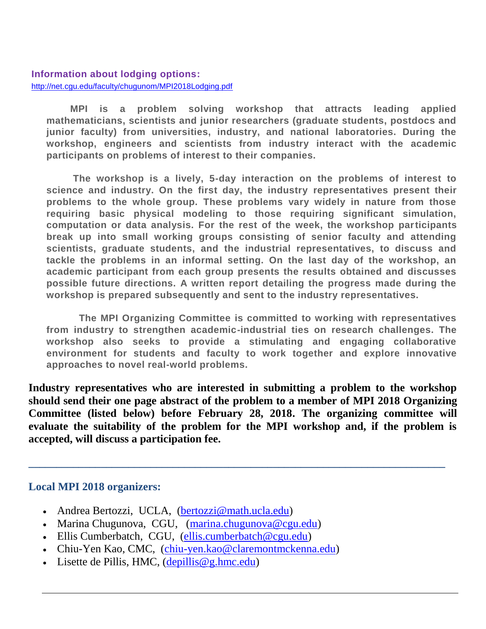#### **Information about lodging options:** <http://net.cgu.edu/faculty/chugunom/MPI2018Lodging.pdf>

 **MPI is a problem solving workshop that attracts leading applied mathematicians, scientists and junior researchers (graduate students, postdocs and junior faculty) from universities, industry, and national laboratories. During the workshop, engineers and scientists from industry interact with the academic participants on problems of interest to their companies.**

 **The workshop is a lively, 5-day interaction on the problems of interest to science and industry. On the first day, the industry representatives present their problems to the whole group. These problems vary widely in nature from those requiring basic physical modeling to those requiring significant simulation, computation or data analysis. For the rest of the week, the workshop participants break up into small working groups consisting of senior faculty and attending scientists, graduate students, and the industrial representatives, to discuss and tackle the problems in an informal setting. On the last day of the workshop, an academic participant from each group presents the results obtained and discusses possible future directions. A written report detailing the progress made during the workshop is prepared subsequently and sent to the industry representatives.**

 **The MPI Organizing Committee is committed to working with representatives from industry to strengthen academic-industrial ties on research challenges. The workshop also seeks to provide a stimulating and engaging collaborative environment for students and faculty to work together and explore innovative approaches to novel real-world problems.**

**Industry representatives who are interested in submitting a problem to the workshop should send their one page abstract of the problem to a member of MPI 2018 Organizing Committee (listed below) before February 28, 2018. The organizing committee will evaluate the suitability of the problem for the MPI workshop and, if the problem is accepted, will discuss a participation fee.** 

**\_\_\_\_\_\_\_\_\_\_\_\_\_\_\_\_\_\_\_\_\_\_\_\_\_\_\_\_\_\_\_\_\_\_\_\_\_\_\_\_\_\_\_\_\_\_\_\_\_\_\_\_\_\_\_\_\_\_\_\_\_\_\_\_\_\_\_\_\_\_\_\_\_\_\_**

# **Local MPI 2018 organizers:**

- Andrea Bertozzi, UCLA, [\(bertozzi@math.ucla.edu\)](mailto:bertozzi@math.ucla.edu)
- Marina Chugunova, CGU, [\(marina.chugunova@cgu.edu\)](mailto:marina.chugunova@cgu.edu)
- Ellis Cumberbatch, CGU, [\(ellis.cumberbatch@cgu.edu\)](mailto:ellis.cumberbatch@cgu.edu)
- Chiu-Yen Kao, CMC, [\(chiu-yen.kao@claremontmckenna.edu\)](mailto:chiu-yen.kao@claremontmckenna.edu)
- Lisette de Pillis, HMC,  $(depillis@g.hmc.edu)$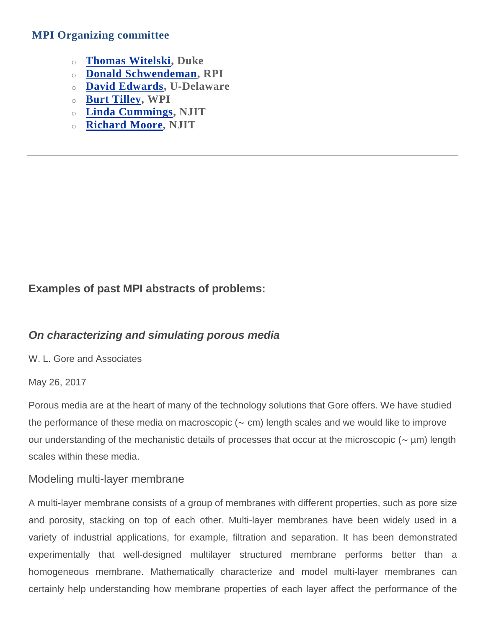### **MPI Organizing committee**

- o **Thomas [Witelski,](http://fds.duke.edu/db/aas/math/faculty/witelski) Duke**
- o **Donald [Schwendeman,](http://homepages.rpi.edu/~schwed/) RPI**
- o **David [Edwards,](http://www.math.udel.edu/~edwards/) U-Delaware**
- o **Burt [Tilley,](http://www.wpi.edu/academics/facultydir/bst.html) WPI**
- o **Linda [Cummings,](http://math.njit.edu/people/cummings.php) NJIT**
- o **[Richard](http://math.njit.edu/people/moore.php) Moore, NJIT**

# **Examples of past MPI abstracts of problems:**

# *On characterizing and simulating porous media*

W. L. Gore and Associates

#### May 26, 2017

Porous media are at the heart of many of the technology solutions that Gore offers. We have studied the performance of these media on macroscopic (∼ cm) length scales and we would like to improve our understanding of the mechanistic details of processes that occur at the microscopic (∼ µm) length scales within these media.

# Modeling multi-layer membrane

A multi-layer membrane consists of a group of membranes with different properties, such as pore size and porosity, stacking on top of each other. Multi-layer membranes have been widely used in a variety of industrial applications, for example, filtration and separation. It has been demonstrated experimentally that well-designed multilayer structured membrane performs better than a homogeneous membrane. Mathematically characterize and model multi-layer membranes can certainly help understanding how membrane properties of each layer affect the performance of the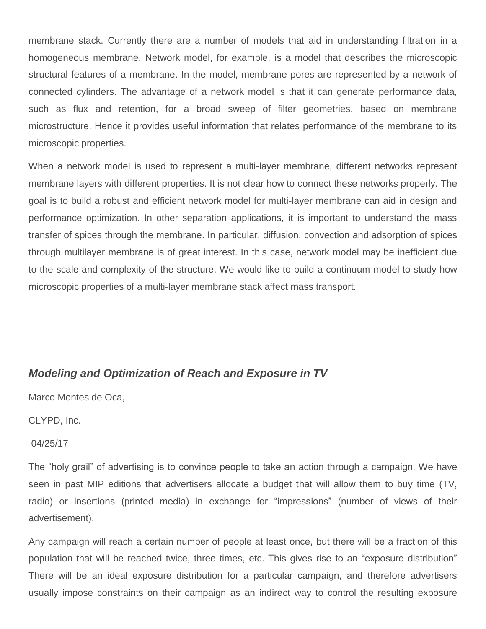membrane stack. Currently there are a number of models that aid in understanding filtration in a homogeneous membrane. Network model, for example, is a model that describes the microscopic structural features of a membrane. In the model, membrane pores are represented by a network of connected cylinders. The advantage of a network model is that it can generate performance data, such as flux and retention, for a broad sweep of filter geometries, based on membrane microstructure. Hence it provides useful information that relates performance of the membrane to its microscopic properties.

When a network model is used to represent a multi-layer membrane, different networks represent membrane layers with different properties. It is not clear how to connect these networks properly. The goal is to build a robust and efficient network model for multi-layer membrane can aid in design and performance optimization. In other separation applications, it is important to understand the mass transfer of spices through the membrane. In particular, diffusion, convection and adsorption of spices through multilayer membrane is of great interest. In this case, network model may be inefficient due to the scale and complexity of the structure. We would like to build a continuum model to study how microscopic properties of a multi-layer membrane stack affect mass transport.

# *Modeling and Optimization of Reach and Exposure in TV*

Marco Montes de Oca,

CLYPD, Inc.

#### 04/25/17

The "holy grail" of advertising is to convince people to take an action through a campaign. We have seen in past MIP editions that advertisers allocate a budget that will allow them to buy time (TV, radio) or insertions (printed media) in exchange for "impressions" (number of views of their advertisement).

Any campaign will reach a certain number of people at least once, but there will be a fraction of this population that will be reached twice, three times, etc. This gives rise to an "exposure distribution" There will be an ideal exposure distribution for a particular campaign, and therefore advertisers usually impose constraints on their campaign as an indirect way to control the resulting exposure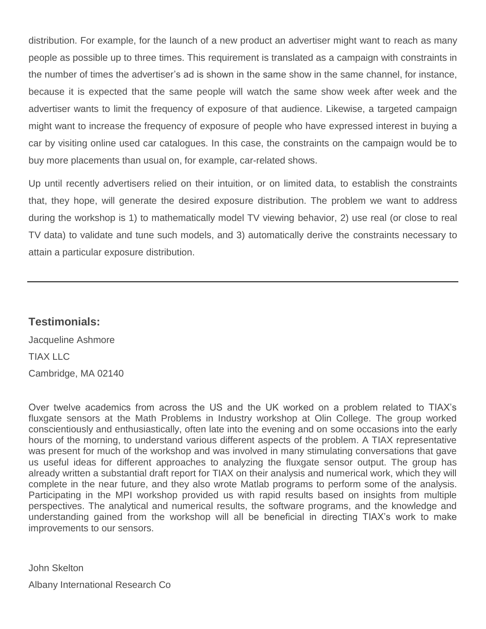distribution. For example, for the launch of a new product an advertiser might want to reach as many people as possible up to three times. This requirement is translated as a campaign with constraints in the number of times the advertiser's ad is shown in the same show in the same channel, for instance, because it is expected that the same people will watch the same show week after week and the advertiser wants to limit the frequency of exposure of that audience. Likewise, a targeted campaign might want to increase the frequency of exposure of people who have expressed interest in buying a car by visiting online used car catalogues. In this case, the constraints on the campaign would be to buy more placements than usual on, for example, car-related shows.

Up until recently advertisers relied on their intuition, or on limited data, to establish the constraints that, they hope, will generate the desired exposure distribution. The problem we want to address during the workshop is 1) to mathematically model TV viewing behavior, 2) use real (or close to real TV data) to validate and tune such models, and 3) automatically derive the constraints necessary to attain a particular exposure distribution.

# **Testimonials:**

Jacqueline Ashmore TIAX LLC Cambridge, MA 02140

Over twelve academics from across the US and the UK worked on a problem related to TIAX's fluxgate sensors at the Math Problems in Industry workshop at Olin College. The group worked conscientiously and enthusiastically, often late into the evening and on some occasions into the early hours of the morning, to understand various different aspects of the problem. A TIAX representative was present for much of the workshop and was involved in many stimulating conversations that gave us useful ideas for different approaches to analyzing the fluxgate sensor output. The group has already written a substantial draft report for TIAX on their analysis and numerical work, which they will complete in the near future, and they also wrote Matlab programs to perform some of the analysis. Participating in the MPI workshop provided us with rapid results based on insights from multiple perspectives. The analytical and numerical results, the software programs, and the knowledge and understanding gained from the workshop will all be beneficial in directing TIAX's work to make improvements to our sensors.

John Skelton Albany International Research Co